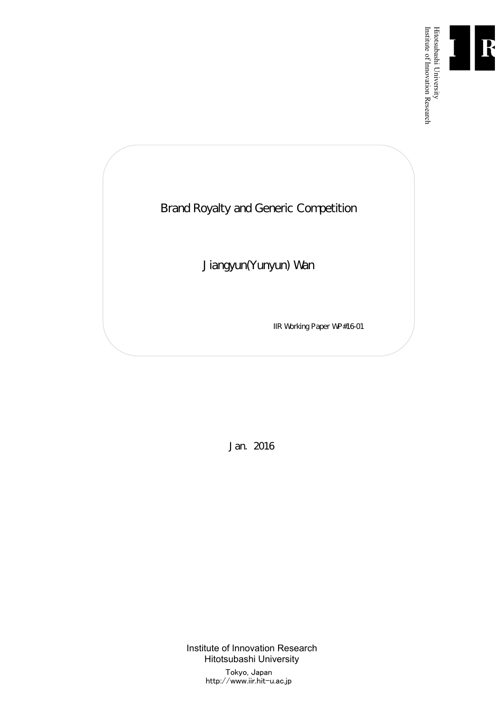

Institute of Innovation Research

Brand Royalty and Generic Competition

Jiangyun(Yunyun) Wan

IIR Working Paper WP#16-01

Jan. 2016

Institute of Innovation Research Hitotsubashi University Tokyo, Japan http://www.iir.hit-u.ac.jp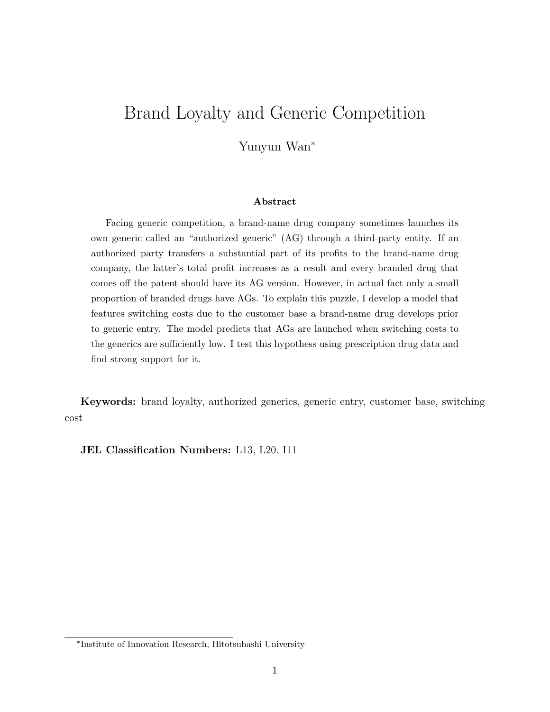# Brand Loyalty and Generic Competition

Yunyun Wan<sup>\*</sup>

#### Abstract

Facing generic competition, a brand-name drug company sometimes launches its own generic called an "authorized generic" (AG) through a third-party entity. If an authorized party transfers a substantial part of its profits to the brand-name drug company, the latter's total profit increases as a result and every branded drug that comes off the patent should have its AG version. However, in actual fact only a small proportion of branded drugs have AGs. To explain this puzzle, I develop a model that features switching costs due to the customer base a brand-name drug develops prior to generic entry. The model predicts that AGs are launched when switching costs to the generics are sufficiently low. I test this hypothess using prescription drug data and find strong support for it.

Keywords: brand loyalty, authorized generics, generic entry, customer base, switching cost

JEL Classification Numbers: L13, L20, I11

<sup>⇤</sup>Institute of Innovation Research, Hitotsubashi University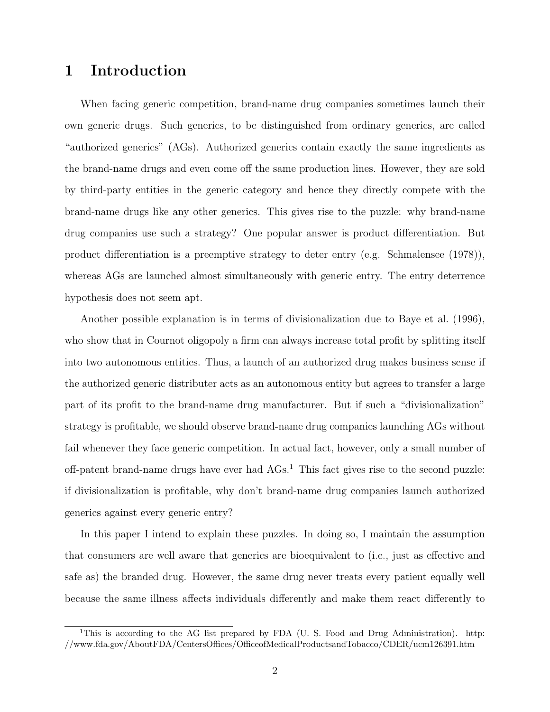# 1 Introduction

When facing generic competition, brand-name drug companies sometimes launch their own generic drugs. Such generics, to be distinguished from ordinary generics, are called "authorized generics" (AGs). Authorized generics contain exactly the same ingredients as the brand-name drugs and even come off the same production lines. However, they are sold by third-party entities in the generic category and hence they directly compete with the brand-name drugs like any other generics. This gives rise to the puzzle: why brand-name drug companies use such a strategy? One popular answer is product differentiation. But product differentiation is a preemptive strategy to deter entry (e.g. Schmalensee  $(1978)$ ), whereas AGs are launched almost simultaneously with generic entry. The entry deterrence hypothesis does not seem apt.

Another possible explanation is in terms of divisionalization due to Baye et al. (1996), who show that in Cournot oligopoly a firm can always increase total profit by splitting itself into two autonomous entities. Thus, a launch of an authorized drug makes business sense if the authorized generic distributer acts as an autonomous entity but agrees to transfer a large part of its profit to the brand-name drug manufacturer. But if such a "divisionalization" strategy is profitable, we should observe brand-name drug companies launching AGs without fail whenever they face generic competition. In actual fact, however, only a small number of off-patent brand-name drugs have ever had  $AGs<sup>1</sup>$ . This fact gives rise to the second puzzle: if divisionalization is profitable, why don't brand-name drug companies launch authorized generics against every generic entry?

In this paper I intend to explain these puzzles. In doing so, I maintain the assumption that consumers are well aware that generics are bioequivalent to (i.e., just as effective and safe as) the branded drug. However, the same drug never treats every patient equally well because the same illness affects individuals differently and make them react differently to

<sup>&</sup>lt;sup>1</sup>This is according to the AG list prepared by FDA (U. S. Food and Drug Administration). http:  $//www.fda.gov/AboutFDA/CentersOffices/OfficeofMediaProtocolG) and Tobacco/CDER/ucm126391.htm$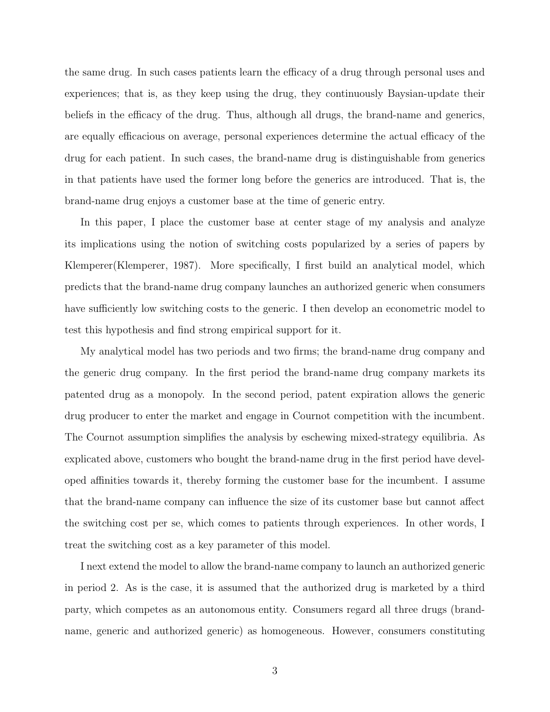the same drug. In such cases patients learn the efficacy of a drug through personal uses and experiences; that is, as they keep using the drug, they continuously Baysian-update their beliefs in the efficacy of the drug. Thus, although all drugs, the brand-name and generics, are equally efficacious on average, personal experiences determine the actual efficacy of the drug for each patient. In such cases, the brand-name drug is distinguishable from generics in that patients have used the former long before the generics are introduced. That is, the brand-name drug enjoys a customer base at the time of generic entry.

In this paper, I place the customer base at center stage of my analysis and analyze its implications using the notion of switching costs popularized by a series of papers by Klemperer(Klemperer, 1987). More specifically, I first build an analytical model, which predicts that the brand-name drug company launches an authorized generic when consumers have sufficiently low switching costs to the generic. I then develop an econometric model to test this hypothesis and find strong empirical support for it.

My analytical model has two periods and two firms; the brand-name drug company and the generic drug company. In the first period the brand-name drug company markets its patented drug as a monopoly. In the second period, patent expiration allows the generic drug producer to enter the market and engage in Cournot competition with the incumbent. The Cournot assumption simplifies the analysis by eschewing mixed-strategy equilibria. As explicated above, customers who bought the brand-name drug in the first period have developed affinities towards it, thereby forming the customer base for the incumbent. I assume that the brand-name company can influence the size of its customer base but cannot affect the switching cost per se, which comes to patients through experiences. In other words, I treat the switching cost as a key parameter of this model.

I next extend the model to allow the brand-name company to launch an authorized generic in period 2. As is the case, it is assumed that the authorized drug is marketed by a third party, which competes as an autonomous entity. Consumers regard all three drugs (brandname, generic and authorized generic) as homogeneous. However, consumers constituting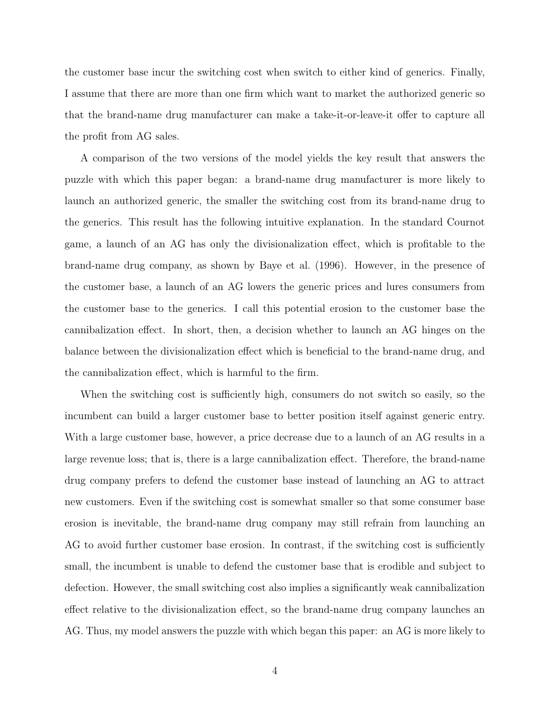the customer base incur the switching cost when switch to either kind of generics. Finally, I assume that there are more than one firm which want to market the authorized generic so that the brand-name drug manufacturer can make a take-it-or-leave-it offer to capture all the profit from AG sales.

A comparison of the two versions of the model yields the key result that answers the puzzle with which this paper began: a brand-name drug manufacturer is more likely to launch an authorized generic, the smaller the switching cost from its brand-name drug to the generics. This result has the following intuitive explanation. In the standard Cournot game, a launch of an AG has only the divisionalization effect, which is profitable to the brand-name drug company, as shown by Baye et al. (1996). However, in the presence of the customer base, a launch of an AG lowers the generic prices and lures consumers from the customer base to the generics. I call this potential erosion to the customer base the cannibalization effect. In short, then, a decision whether to launch an AG hinges on the balance between the divisionalization effect which is beneficial to the brand-name drug, and the cannibalization effect, which is harmful to the firm.

When the switching cost is sufficiently high, consumers do not switch so easily, so the incumbent can build a larger customer base to better position itself against generic entry. With a large customer base, however, a price decrease due to a launch of an AG results in a large revenue loss; that is, there is a large cannibalization effect. Therefore, the brand-name drug company prefers to defend the customer base instead of launching an AG to attract new customers. Even if the switching cost is somewhat smaller so that some consumer base erosion is inevitable, the brand-name drug company may still refrain from launching an AG to avoid further customer base erosion. In contrast, if the switching cost is sufficiently small, the incumbent is unable to defend the customer base that is erodible and subject to defection. However, the small switching cost also implies a significantly weak cannibalization effect relative to the divisionalization effect, so the brand-name drug company launches an AG. Thus, my model answers the puzzle with which began this paper: an AG is more likely to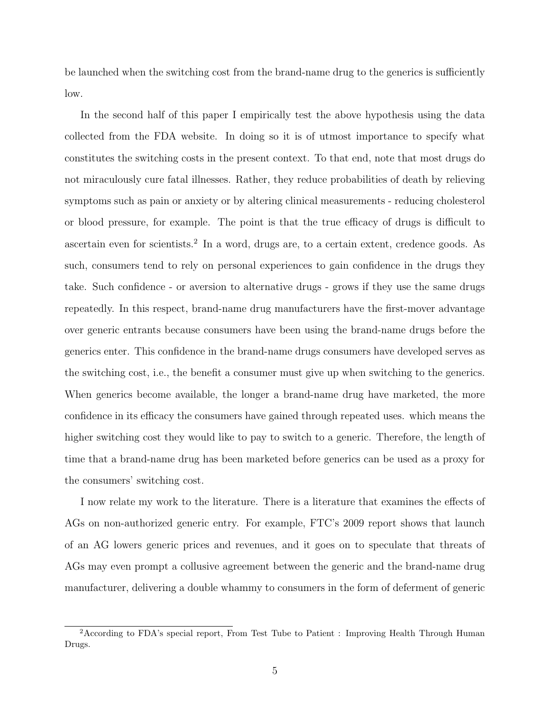be launched when the switching cost from the brand-name drug to the generics is sufficiently low.

In the second half of this paper I empirically test the above hypothesis using the data collected from the FDA website. In doing so it is of utmost importance to specify what constitutes the switching costs in the present context. To that end, note that most drugs do not miraculously cure fatal illnesses. Rather, they reduce probabilities of death by relieving symptoms such as pain or anxiety or by altering clinical measurements - reducing cholesterol or blood pressure, for example. The point is that the true efficacy of drugs is difficult to ascertain even for scientists.<sup>2</sup> In a word, drugs are, to a certain extent, credence goods. As such, consumers tend to rely on personal experiences to gain confidence in the drugs they take. Such confidence - or aversion to alternative drugs - grows if they use the same drugs repeatedly. In this respect, brand-name drug manufacturers have the first-mover advantage over generic entrants because consumers have been using the brand-name drugs before the generics enter. This confidence in the brand-name drugs consumers have developed serves as the switching cost, i.e., the benefit a consumer must give up when switching to the generics. When generics become available, the longer a brand-name drug have marketed, the more confidence in its efficacy the consumers have gained through repeated uses. which means the higher switching cost they would like to pay to switch to a generic. Therefore, the length of time that a brand-name drug has been marketed before generics can be used as a proxy for the consumers' switching cost.

I now relate my work to the literature. There is a literature that examines the effects of AGs on non-authorized generic entry. For example, FTC's 2009 report shows that launch of an AG lowers generic prices and revenues, and it goes on to speculate that threats of AGs may even prompt a collusive agreement between the generic and the brand-name drug manufacturer, delivering a double whammy to consumers in the form of deferment of generic

<sup>2</sup>According to FDA's special report, From Test Tube to Patient : Improving Health Through Human Drugs.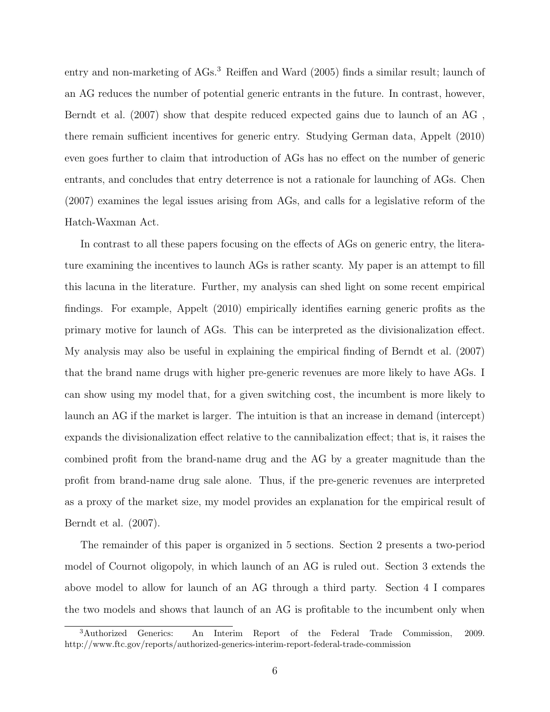entry and non-marketing of AGs.<sup>3</sup> Reiffen and Ward (2005) finds a similar result; launch of an AG reduces the number of potential generic entrants in the future. In contrast, however, Berndt et al. (2007) show that despite reduced expected gains due to launch of an AG , there remain sufficient incentives for generic entry. Studying German data, Appelt (2010) even goes further to claim that introduction of AGs has no effect on the number of generic entrants, and concludes that entry deterrence is not a rationale for launching of AGs. Chen (2007) examines the legal issues arising from AGs, and calls for a legislative reform of the Hatch-Waxman Act.

In contrast to all these papers focusing on the effects of AGs on generic entry, the literature examining the incentives to launch AGs is rather scanty. My paper is an attempt to fill this lacuna in the literature. Further, my analysis can shed light on some recent empirical findings. For example, Appelt (2010) empirically identifies earning generic profits as the primary motive for launch of AGs. This can be interpreted as the divisionalization effect. My analysis may also be useful in explaining the empirical finding of Berndt et al. (2007) that the brand name drugs with higher pre-generic revenues are more likely to have AGs. I can show using my model that, for a given switching cost, the incumbent is more likely to launch an AG if the market is larger. The intuition is that an increase in demand (intercept) expands the divisionalization effect relative to the cannibalization effect; that is, it raises the combined profit from the brand-name drug and the AG by a greater magnitude than the profit from brand-name drug sale alone. Thus, if the pre-generic revenues are interpreted as a proxy of the market size, my model provides an explanation for the empirical result of Berndt et al. (2007).

The remainder of this paper is organized in 5 sections. Section 2 presents a two-period model of Cournot oligopoly, in which launch of an AG is ruled out. Section 3 extends the above model to allow for launch of an AG through a third party. Section 4 I compares the two models and shows that launch of an AG is profitable to the incumbent only when

<sup>3</sup>Authorized Generics: An Interim Report of the Federal Trade Commission, 2009. http://www.ftc.gov/reports/authorized-generics-interim-report-federal-trade-commission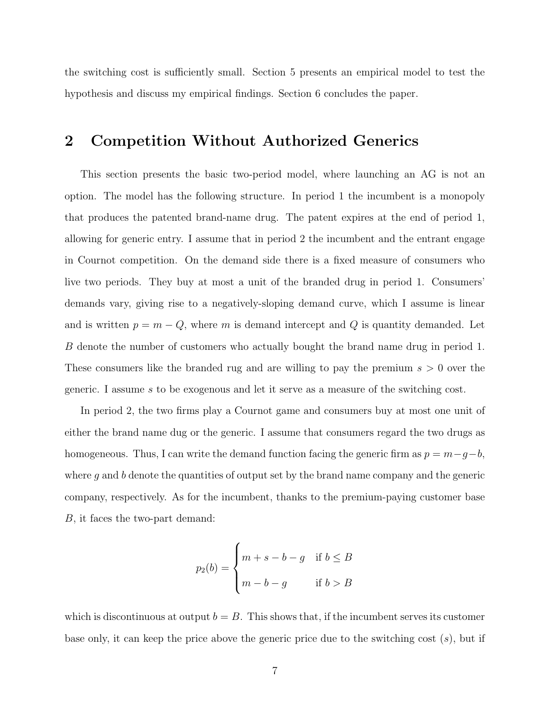the switching cost is sufficiently small. Section 5 presents an empirical model to test the hypothesis and discuss my empirical findings. Section 6 concludes the paper.

## 2 Competition Without Authorized Generics

This section presents the basic two-period model, where launching an AG is not an option. The model has the following structure. In period 1 the incumbent is a monopoly that produces the patented brand-name drug. The patent expires at the end of period 1, allowing for generic entry. I assume that in period 2 the incumbent and the entrant engage in Cournot competition. On the demand side there is a fixed measure of consumers who live two periods. They buy at most a unit of the branded drug in period 1. Consumers' demands vary, giving rise to a negatively-sloping demand curve, which I assume is linear and is written  $p = m - Q$ , where *m* is demand intercept and *Q* is quantity demanded. Let *B* denote the number of customers who actually bought the brand name drug in period 1. These consumers like the branded rug and are willing to pay the premium *s >* 0 over the generic. I assume *s* to be exogenous and let it serve as a measure of the switching cost.

In period 2, the two firms play a Cournot game and consumers buy at most one unit of either the brand name dug or the generic. I assume that consumers regard the two drugs as homogeneous. Thus, I can write the demand function facing the generic firm as  $p = m - g - b$ , where g and b denote the quantities of output set by the brand name company and the generic company, respectively. As for the incumbent, thanks to the premium-paying customer base *B*, it faces the two-part demand:

$$
p_2(b) = \begin{cases} m+s-b-g & \text{if } b \leq B \\ m-b-g & \text{if } b > B \end{cases}
$$

which is discontinuous at output  $b = B$ . This shows that, if the incumbent serves its customer base only, it can keep the price above the generic price due to the switching cost (*s*), but if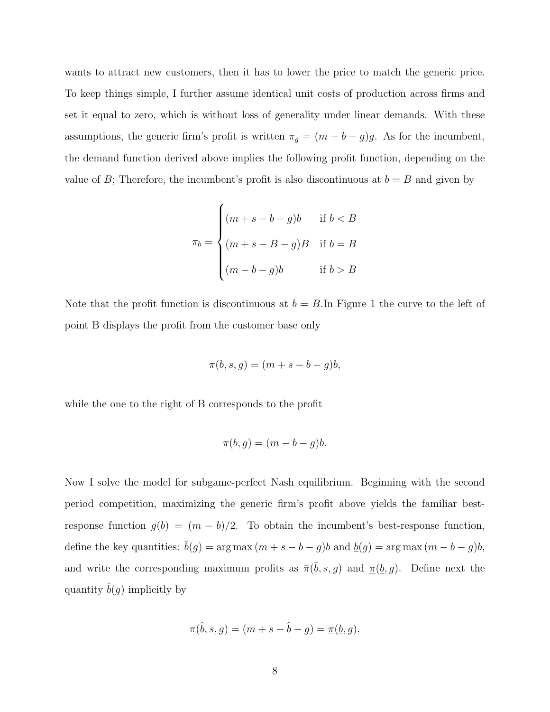wants to attract new customers, then it has to lower the price to match the generic price. To keep things simple, I further assume identical unit costs of production across firms and set it equal to zero, which is without loss of generality under linear demands. With these assumptions, the generic firm's profit is written  $\pi_g = (m - b - g)g$ . As for the incumbent, the demand function derived above implies the following profit function, depending on the value of *B*; Therefore, the incumbent's profit is also discontinuous at  $b = B$  and given by

$$
\pi_b = \begin{cases} (m+s-b-g)b & \text{if } b < B \\ (m+s-B-g)B & \text{if } b = B \\ (m-b-g)b & \text{if } b > B \end{cases}
$$

Note that the profit function is discontinuous at  $b = B$ . In Figure 1 the curve to the left of point B displays the profit from the customer base only

$$
\pi(b,s,g) = (m+s-b-g)b,
$$

while the one to the right of B corresponds to the profit

$$
\pi(b,g) = (m - b - g)b.
$$

Now I solve the model for subgame-perfect Nash equilibrium. Beginning with the second period competition, maximizing the generic firm's profit above yields the familiar bestresponse function  $g(b) = (m - b)/2$ . To obtain the incumbent's best-response function, define the key quantities:  $\bar{b}(g) = \arg \max (m + s - b - g)b$  and  $\underline{b}(g) = \arg \max (m - b - g)b$ , and write the corresponding maximum profits as  $\bar{\pi}(\bar{b}, s, g)$  and  $\underline{\pi}(\underline{b}, g)$ . Define next the quantity  $\tilde{b}(g)$  implicitly by

$$
\pi(\hat{b}, s, g) = (m + s - \hat{b} - g) = \underline{\pi}(\underline{b}, g).
$$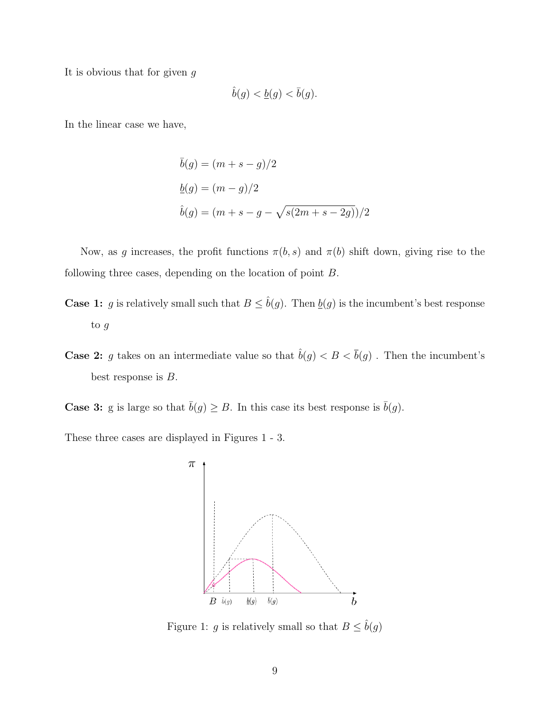It is obvious that for given *g*

$$
\hat{b}(g) < \underline{b}(g) < \overline{b}(g).
$$

In the linear case we have,

$$
\bar{b}(g) = (m + s - g)/2
$$
  
\n
$$
\underline{b}(g) = (m - g)/2
$$
  
\n
$$
\hat{b}(g) = (m + s - g - \sqrt{s(2m + s - 2g)})/2
$$

Now, as g increases, the profit functions  $\pi(b, s)$  and  $\pi(b)$  shift down, giving rise to the following three cases, depending on the location of point *B*.

- **Case 1:** *g* is relatively small such that  $B \leq \hat{b}(g)$ . Then  $\underline{b}(g)$  is the incumbent's best response to *g*
- **Case 2:** *g* takes on an intermediate value so that  $\hat{b}(g) < B < \overline{b}(g)$ . Then the incumbent's best response is *B*.
- **Case 3:** g is large so that  $\bar{b}(g) \geq B$ . In this case its best response is  $\bar{b}(g)$ .

These three cases are displayed in Figures 1 - 3.



Figure 1: *g* is relatively small so that  $B \leq \hat{b}(g)$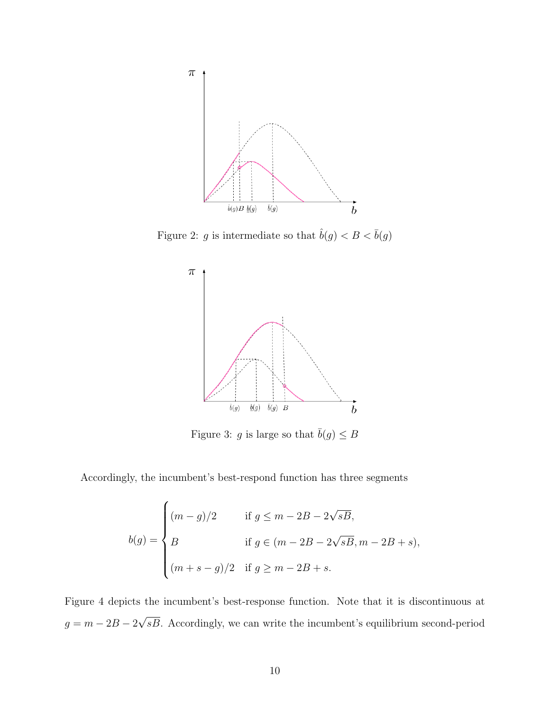

Figure 2: *g* is intermediate so that  $\hat{b}(g) < B < \bar{b}(g)$ 



Figure 3: *g* is large so that  $\bar{b}(g) \leq B$ 

Accordingly, the incumbent's best-respond function has three segments

$$
b(g) = \begin{cases} (m-g)/2 & \text{if } g \le m-2B-2\sqrt{sB}, \\ B & \text{if } g \in (m-2B-2\sqrt{sB}, m-2B+s), \\ (m+s-g)/2 & \text{if } g \ge m-2B+s. \end{cases}
$$

Figure 4 depicts the incumbent's best-response function. Note that it is discontinuous at  $g = m - 2B - 2\sqrt{sB}$ . Accordingly, we can write the incumbent's equilibrium second-period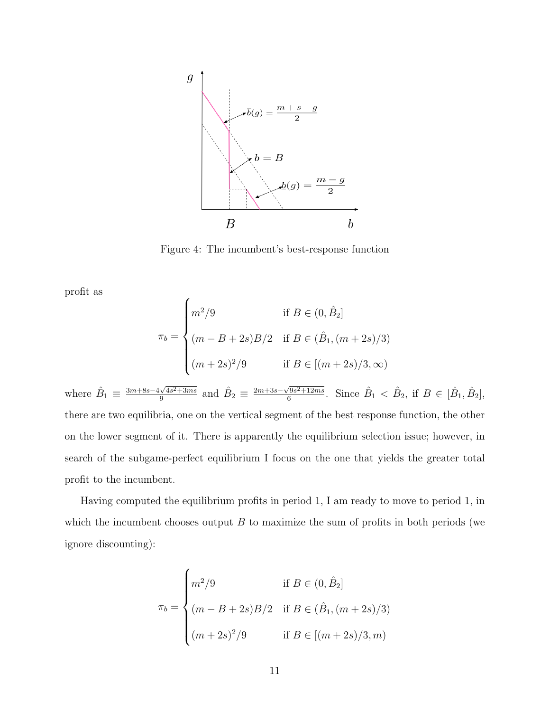

Figure 4: The incumbent's best-response function

profit as

$$
\pi_b = \begin{cases}\nm^2/9 & \text{if } B \in (0, \hat{B}_2] \\
(m - B + 2s)B/2 & \text{if } B \in (\hat{B}_1, (m + 2s)/3) \\
(m + 2s)^2/9 & \text{if } B \in [(m + 2s)/3, \infty)\n\end{cases}
$$

where  $\hat{B}_1 \equiv \frac{3m+8s-4\sqrt{4s^2+3ms}}{9}$  and  $\hat{B}_2 \equiv \frac{2m+3s-\sqrt{9s^2+12ms}}{6}$ . Since  $\hat{B}_1 < \hat{B}_2$ , if  $B \in [\hat{B}_1, \hat{B}_2]$ , there are two equilibria, one on the vertical segment of the best response function, the other on the lower segment of it. There is apparently the equilibrium selection issue; however, in search of the subgame-perfect equilibrium I focus on the one that yields the greater total profit to the incumbent.

Having computed the equilibrium profits in period 1, I am ready to move to period 1, in which the incumbent chooses output *B* to maximize the sum of profits in both periods (we ignore discounting):

$$
\pi_b = \begin{cases}\nm^2/9 & \text{if } B \in (0, \hat{B}_2] \\
(m - B + 2s)B/2 & \text{if } B \in (\hat{B}_1, (m + 2s)/3) \\
(m + 2s)^2/9 & \text{if } B \in [(m + 2s)/3, m)\n\end{cases}
$$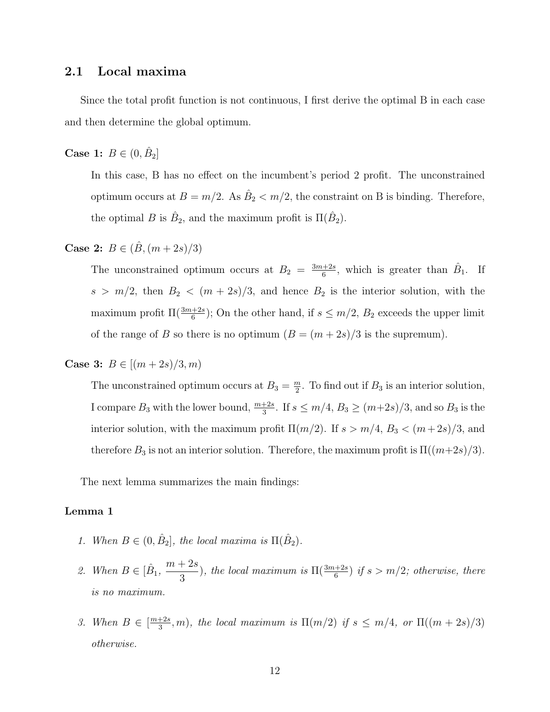#### 2.1 Local maxima

Since the total profit function is not continuous, I first derive the optimal B in each case and then determine the global optimum.

**Case 1:**  $B \in (0, \hat{B}_2]$ 

In this case, B has no effect on the incumbent's period 2 profit. The unconstrained optimum occurs at  $B = m/2$ . As  $\hat{B}_2 < m/2$ , the constraint on B is binding. Therefore, the optimal *B* is  $\hat{B}_2$ , and the maximum profit is  $\Pi(\hat{B}_2)$ .

**Case 2:**  $B \in (\hat{B}, (m+2s)/3)$ 

The unconstrained optimum occurs at  $B_2 = \frac{3m+2s}{6}$ , which is greater than  $\hat{B}_1$ . If  $s > m/2$ , then  $B_2 < (m + 2s)/3$ , and hence  $B_2$  is the interior solution, with the maximum profit  $\Pi(\frac{3m+2s}{6})$ ; On the other hand, if  $s \leq m/2$ ,  $B_2$  exceeds the upper limit of the range of *B* so there is no optimum  $(B = (m + 2s)/3$  is the supremum).

**Case 3:**  $B \in [(m+2s)/3, m)$ 

The unconstrained optimum occurs at  $B_3 = \frac{m}{2}$ . To find out if  $B_3$  is an interior solution, I compare  $B_3$  with the lower bound,  $\frac{m+2s}{3}$ . If  $s \leq m/4$ ,  $B_3 \geq (m+2s)/3$ , and so  $B_3$  is the interior solution, with the maximum profit  $\Pi(m/2)$ . If  $s > m/4$ ,  $B_3 < (m+2s)/3$ , and therefore  $B_3$  is not an interior solution. Therefore, the maximum profit is  $\Pi((m+2s)/3)$ .

The next lemma summarizes the main findings:

#### Lemma 1

- *1. When*  $B \in (0, \hat{B}_2]$ , the local maxima is  $\Pi(\hat{B}_2)$ .
- 2. When  $B \in [\hat{B}_1, \frac{m+2s}{3})$ , the local maximum is  $\Pi(\frac{3m+2s}{6})$  if  $s > m/2$ ; otherwise, there *is no maximum.*
- 3. When  $B \in \left[\frac{m+2s}{3}, m\right)$ , the local maximum is  $\Pi(m/2)$  if  $s \leq m/4$ , or  $\Pi((m+2s)/3)$ *otherwise.*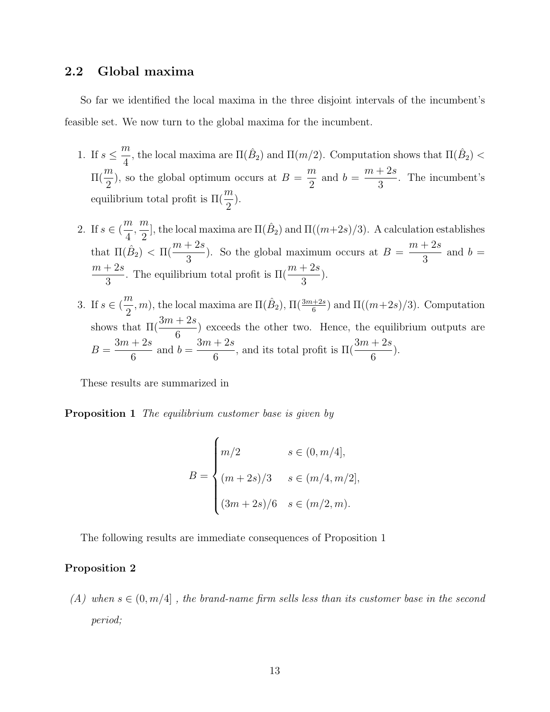### 2.2 Global maxima

So far we identified the local maxima in the three disjoint intervals of the incumbent's feasible set. We now turn to the global maxima for the incumbent.

- 1. If  $s \leq$  $\frac{m}{4}$ , the local maxima are  $\Pi(\hat{B}_2)$  and  $\Pi(m/2)$ . Computation shows that  $\Pi(\hat{B}_2)$  <  $\Pi($  $\frac{m}{2}$ ), so the global optimum occurs at  $B = \frac{m}{2}$ and  $b = \frac{m+2s}{s}$ 3 . The incumbent's equilibrium total profit is  $\Pi($ *m*  $\frac{1}{2}$ ).
- 2. If  $s \in ($ *m*  $\frac{1}{4}$ ,  $\frac{m}{2}$ , the local maxima are  $\Pi(\hat{B}_2)$  and  $\Pi((m+2s)/3)$ . A calculation establishes that  $\Pi(\hat{B}_2) < \Pi(\frac{m+2s}{3})$ . So the global maximum occurs at  $B = \frac{m+2s}{3}$ and  $b =$ *m* + 2*s*  $\frac{1}{3}$ . The equilibrium total profit is  $\Pi($ *m* + 2*s*  $\frac{1}{3}$ ).
- 3. If  $s \in ($  $\frac{m}{2}$ , *m*), the local maxima are  $\Pi(\hat{B}_2)$ ,  $\Pi(\frac{3m+2s}{6})$  and  $\Pi((m+2s)/3)$ . Computation shows that  $\Pi($ 3*m* + 2*s*  $\frac{1}{6}$  exceeds the other two. Hence, the equilibrium outputs are  $B = \frac{3m + 2s}{c}$ 6 and  $b = \frac{3m + 2s}{c}$  $\frac{1}{6}$ , and its total profit is  $\Pi($ 3*m* + 2*s*  $\frac{1}{6}$ ).

These results are summarized in

Proposition 1 *The equilibrium customer base is given by*

$$
B = \begin{cases} m/2 & s \in (0, m/4], \\ (m+2s)/3 & s \in (m/4, m/2], \\ (3m+2s)/6 & s \in (m/2, m). \end{cases}
$$

The following results are immediate consequences of Proposition 1

#### Proposition 2

*(A) when*  $s \in (0, m/4]$ , the brand-name firm sells less than its customer base in the second *period;*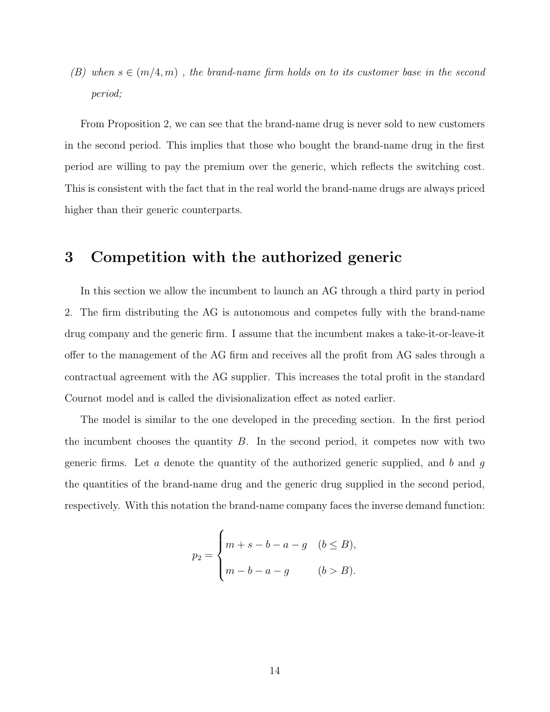*(B)* when  $s \in (m/4, m)$ , the brand-name firm holds on to its customer base in the second *period;*

From Proposition 2, we can see that the brand-name drug is never sold to new customers in the second period. This implies that those who bought the brand-name drug in the first period are willing to pay the premium over the generic, which reflects the switching cost. This is consistent with the fact that in the real world the brand-name drugs are always priced higher than their generic counterparts.

### 3 Competition with the authorized generic

In this section we allow the incumbent to launch an AG through a third party in period 2. The firm distributing the AG is autonomous and competes fully with the brand-name drug company and the generic firm. I assume that the incumbent makes a take-it-or-leave-it offer to the management of the AG firm and receives all the profit from AG sales through a contractual agreement with the AG supplier. This increases the total profit in the standard Cournot model and is called the divisionalization effect as noted earlier.

The model is similar to the one developed in the preceding section. In the first period the incumbent chooses the quantity *B*. In the second period, it competes now with two generic firms. Let *a* denote the quantity of the authorized generic supplied, and *b* and *g* the quantities of the brand-name drug and the generic drug supplied in the second period, respectively. With this notation the brand-name company faces the inverse demand function:

$$
p_2 = \begin{cases} m + s - b - a - g & (b \le B), \\ m - b - a - g & (b > B). \end{cases}
$$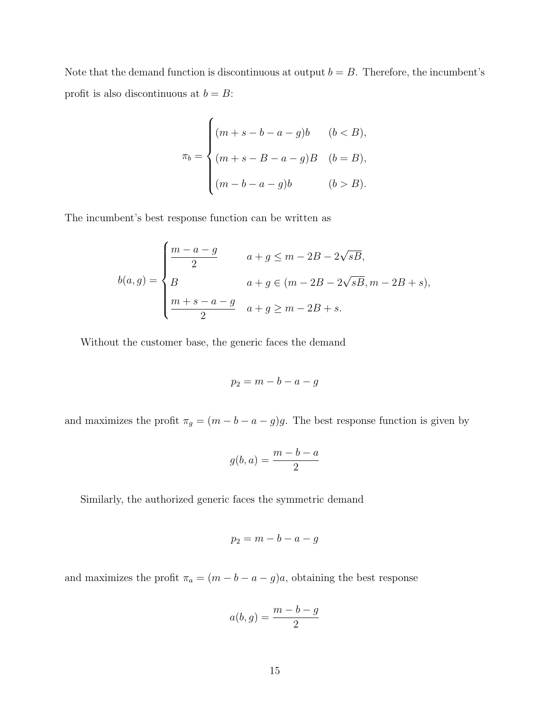Note that the demand function is discontinuous at output  $b = B$ . Therefore, the incumbent's profit is also discontinuous at  $b = B$ :

$$
\pi_b = \begin{cases}\n(m+s-b-a-g)b & (b < B), \\
(m+s-B-a-g)B & (b = B), \\
(m-b-a-g)b & (b > B).\n\end{cases}
$$

The incumbent's best response function can be written as

$$
b(a,g) = \begin{cases} \frac{m-a-g}{2} & a+g \le m-2B-2\sqrt{sB}, \\ B & a+g \in (m-2B-2\sqrt{sB}, m-2B+s), \\ \frac{m+s-a-g}{2} & a+g \ge m-2B+s. \end{cases}
$$

Without the customer base, the generic faces the demand

$$
p_2 = m - b - a - g
$$

and maximizes the profit  $\pi_g = (m - b - a - g)g$ . The best response function is given by

$$
g(b,a) = \frac{m-b-a}{2}
$$

Similarly, the authorized generic faces the symmetric demand

$$
p_2 = m - b - a - g
$$

and maximizes the profit  $\pi_a = (m - b - a - g)a$ , obtaining the best response

$$
a(b,g) = \frac{m-b-g}{2}
$$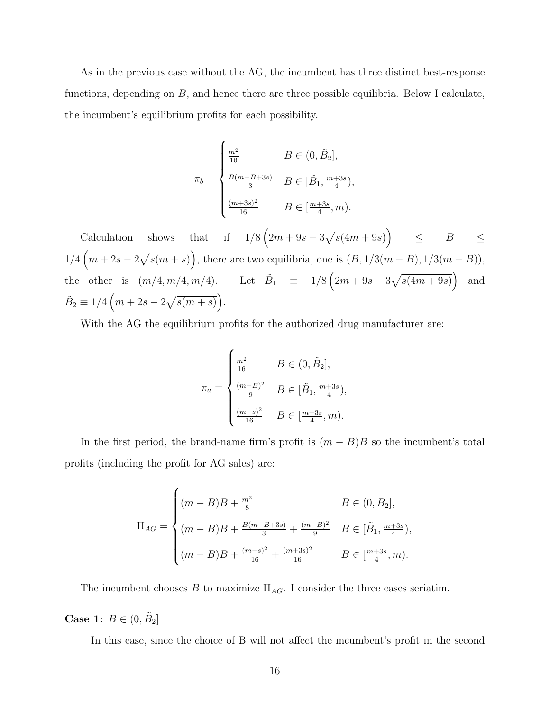As in the previous case without the AG, the incumbent has three distinct best-response functions, depending on *B*, and hence there are three possible equilibria. Below I calculate, the incumbent's equilibrium profits for each possibility.

$$
\pi_b = \begin{cases} \frac{m^2}{16} & B \in (0, \tilde{B}_2], \\ \frac{B(m - B + 3s)}{3} & B \in [\tilde{B}_1, \frac{m + 3s}{4}), \\ \frac{(m + 3s)^2}{16} & B \in [\frac{m + 3s}{4}, m). \end{cases}
$$

Calculation shows that if  $1/8(2m + 9s - 3\sqrt{s(4m + 9s)})$   $\leq B$   $\leq$  $1/4\left(m+2s-2\sqrt{s(m+s)}\right)$ , there are two equilibria, one is  $(B, 1/3(m-B), 1/3(m-B))$ , the other is  $(m/4, m/4, m/4)$ . Let  $\tilde{B}_1 \equiv 1/8 (2m + 9s - 3\sqrt{s(4m + 9s)})$  and  $\tilde{B}_2 \equiv 1/4 \left( m + 2s - 2\sqrt{s(m+s)} \right).$ 

With the AG the equilibrium profits for the authorized drug manufacturer are:

$$
\pi_a = \begin{cases} \frac{m^2}{16} & B \in (0, \tilde{B}_2], \\ \frac{(m-B)^2}{9} & B \in [\tilde{B}_1, \frac{m+3s}{4}), \\ \frac{(m-s)^2}{16} & B \in [\frac{m+3s}{4}, m). \end{cases}
$$

In the first period, the brand-name firm's profit is  $(m - B)B$  so the incumbent's total profits (including the profit for AG sales) are:

$$
\Pi_{AG} = \begin{cases}\n(m - B)B + \frac{m^2}{8} & B \in (0, \tilde{B}_2], \\
(m - B)B + \frac{B(m - B + 3s)}{3} + \frac{(m - B)^2}{9} & B \in [\tilde{B}_1, \frac{m + 3s}{4}), \\
(m - B)B + \frac{(m - s)^2}{16} + \frac{(m + 3s)^2}{16} & B \in [\frac{m + 3s}{4}, m).\n\end{cases}
$$

The incumbent chooses  $B$  to maximize  $\Pi_{AG}$ . I consider the three cases seriatim.

Case 1:  $B \in (0, \tilde{B}_2]$ 

In this case, since the choice of B will not affect the incumbent's profit in the second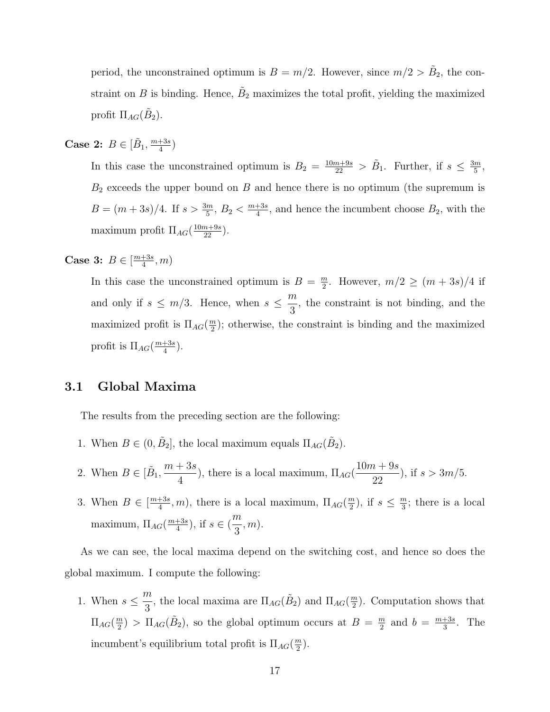period, the unconstrained optimum is  $B = m/2$ . However, since  $m/2 > B<sub>2</sub>$ , the constraint on *B* is binding. Hence,  $\tilde{B}_2$  maximizes the total profit, yielding the maximized profit  $\Pi_{AG}(B_2)$ .

**Case 2:**  $B \in [\tilde{B}_1, \frac{m+3s}{4})$ 

In this case the unconstrained optimum is  $B_2 = \frac{10m+9s}{22} > \tilde{B}_1$ . Further, if  $s \leq \frac{3m}{5}$ , *B*<sup>2</sup> exceeds the upper bound on *B* and hence there is no optimum (the supremum is  $B = (m+3s)/4$ . If  $s > \frac{3m}{5}$ ,  $B_2 < \frac{m+3s}{4}$ , and hence the incumbent choose  $B_2$ , with the maximum profit  $\Pi_{AG}(\frac{10m+9s}{22})$ .

**Case 3:**  $B \in \left[\frac{m+3s}{4}, m\right)$ 

In this case the unconstrained optimum is  $B = \frac{m}{2}$ . However,  $m/2 \ge (m + 3s)/4$  if and only if  $s \leq m/3$ . Hence, when  $s \leq$ *m*  $\frac{\pi}{3}$ , the constraint is not binding, and the maximized profit is  $\Pi_{AG}(\frac{m}{2})$ ; otherwise, the constraint is binding and the maximized profit is  $\Pi_{AG}(\frac{m+3s}{4})$ .

## 3.1 Global Maxima

The results from the preceding section are the following:

- 1. When  $B \in (0, \tilde{B}_2]$ , the local maximum equals  $\Pi_{AG}(\tilde{B}_2)$ .
- 2. When  $B \in [\tilde{B}_1, \frac{m+3s}{4}]$  $\frac{1}{4}$ ), there is a local maximum,  $\Pi_{AG}$ 10*m* + 9*s*  $\frac{1}{22}$ , if  $s > 3m/5$ .
- 3. When  $B \in \left[\frac{m+3s}{4}, m\right)$ , there is a local maximum,  $\Pi_{AG}(\frac{m}{2})$ , if  $s \leq \frac{m}{3}$ ; there is a local maximum,  $\Pi_{AG}(\frac{m+3s}{4})$ , if  $s \in ($ *m*  $\frac{n}{3}, m$ ).

As we can see, the local maxima depend on the switching cost, and hence so does the global maximum. I compute the following:

1. When  $s \leq$  $\frac{m}{3}$ , the local maxima are  $\Pi_{AG}(\tilde{B}_2)$  and  $\Pi_{AG}(\frac{m}{2})$ . Computation shows that  $\Pi_{AG}(\frac{m}{2}) > \Pi_{AG}(\tilde{B}_2)$ , so the global optimum occurs at  $B = \frac{m}{2}$  and  $b = \frac{m+3s}{3}$ . The incumbent's equilibrium total profit is  $\Pi_{AG}(\frac{m}{2})$ .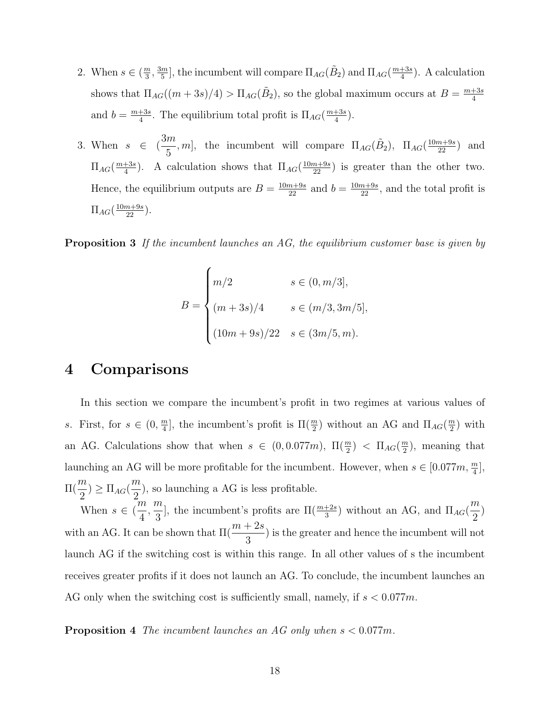- 2. When  $s \in (\frac{m}{3}, \frac{3m}{5}]$ , the incumbent will compare  $\Pi_{AG}(\tilde{B}_2)$  and  $\Pi_{AG}(\frac{m+3s}{4})$ . A calculation shows that  $\Pi_{AG}((m+3s)/4) > \Pi_{AG}(\tilde{B}_2)$ , so the global maximum occurs at  $B = \frac{m+3s}{4}$ and  $b = \frac{m+3s}{4}$ . The equilibrium total profit is  $\Pi_{AG}(\frac{m+3s}{4})$ .
- 3. When  $s \in ($  $\frac{3m}{5}$ , *m*], the incumbent will compare  $\Pi_{AG}(\tilde{B}_2)$ ,  $\Pi_{AG}(\frac{10m+9s}{22})$  and  $\Pi_{AG}(\frac{m+3s}{4})$ . A calculation shows that  $\Pi_{AG}(\frac{10m+9s}{22})$  is greater than the other two. Hence, the equilibrium outputs are  $B = \frac{10m+9s}{22}$  and  $b = \frac{10m+9s}{22}$ , and the total profit is  $\Pi_{AG}(\frac{10m+9s}{22})$ .

Proposition 3 *If the incumbent launches an AG, the equilibrium customer base is given by*

$$
B = \begin{cases} m/2 & s \in (0, m/3], \\ (m+3s)/4 & s \in (m/3, 3m/5], \\ (10m+9s)/22 & s \in (3m/5, m). \end{cases}
$$

### 4 Comparisons

In this section we compare the incumbent's profit in two regimes at various values of *s*. First, for  $s \in (0, \frac{m}{4}]$ , the incumbent's profit is  $\Pi(\frac{m}{2})$  without an AG and  $\Pi_{AG}(\frac{m}{2})$  with an AG. Calculations show that when  $s \in (0, 0.077m)$ ,  $\Pi(\frac{m}{2}) < \Pi_{AG}(\frac{m}{2})$ , meaning that launching an AG will be more profitable for the incumbent. However, when  $s \in [0.077m, \frac{m}{4}]$ ,  $\Pi($ *m*  $\frac{1}{2}$ )  $\geq \prod_{AG}$ *m*  $\frac{1}{2}$ , so launching a AG is less profitable.

When  $s \in ($ *m*  $\frac{1}{4}$ ,  $\frac{m}{3}$ , the incumbent's profits are  $\Pi(\frac{m+2s}{3})$  without an AG, and  $\Pi_{AG}$ *m*  $\frac{1}{2}$ with an AG. It can be shown that  $\Pi($  $m + 2s$  $\left(\frac{120}{3}\right)$  is the greater and hence the incumbent will not launch AG if the switching cost is within this range. In all other values of s the incumbent receives greater profits if it does not launch an AG. To conclude, the incumbent launches an AG only when the switching cost is sufficiently small, namely, if  $s < 0.077m$ .

Proposition 4 *The incumbent launches an AG only when s <* 0*.*077*m.*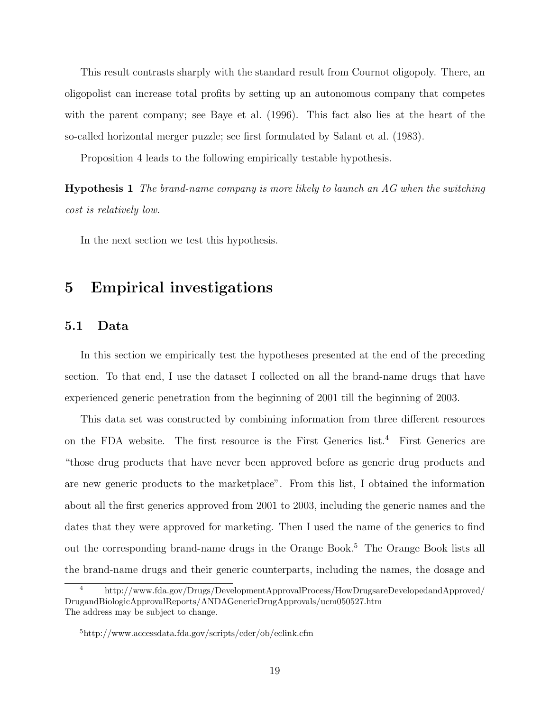This result contrasts sharply with the standard result from Cournot oligopoly. There, an oligopolist can increase total profits by setting up an autonomous company that competes with the parent company; see Baye et al. (1996). This fact also lies at the heart of the so-called horizontal merger puzzle; see first formulated by Salant et al. (1983).

Proposition 4 leads to the following empirically testable hypothesis.

Hypothesis 1 *The brand-name company is more likely to launch an AG when the switching cost is relatively low.*

In the next section we test this hypothesis.

# 5 Empirical investigations

### 5.1 Data

In this section we empirically test the hypotheses presented at the end of the preceding section. To that end, I use the dataset I collected on all the brand-name drugs that have experienced generic penetration from the beginning of 2001 till the beginning of 2003.

This data set was constructed by combining information from three different resources on the FDA website. The first resource is the First Generics list.<sup>4</sup> First Generics are "those drug products that have never been approved before as generic drug products and are new generic products to the marketplace". From this list, I obtained the information about all the first generics approved from 2001 to 2003, including the generic names and the dates that they were approved for marketing. Then I used the name of the generics to find out the corresponding brand-name drugs in the Orange Book.<sup>5</sup> The Orange Book lists all the brand-name drugs and their generic counterparts, including the names, the dosage and

<sup>4</sup> http://www.fda.gov/Drugs/DevelopmentApprovalProcess/HowDrugsareDevelopedandApproved/ DrugandBiologicApprovalReports/ANDAGenericDrugApprovals/ucm050527.htm The address may be subject to change.

<sup>5</sup>http://www.accessdata.fda.gov/scripts/cder/ob/eclink.cfm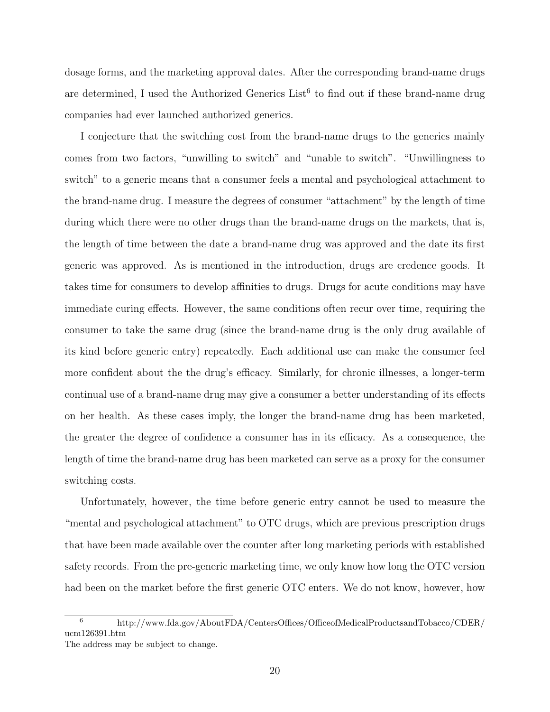dosage forms, and the marketing approval dates. After the corresponding brand-name drugs are determined, I used the Authorized Generics  $List<sup>6</sup>$  to find out if these brand-name drug companies had ever launched authorized generics.

I conjecture that the switching cost from the brand-name drugs to the generics mainly comes from two factors, "unwilling to switch" and "unable to switch". "Unwillingness to switch" to a generic means that a consumer feels a mental and psychological attachment to the brand-name drug. I measure the degrees of consumer "attachment" by the length of time during which there were no other drugs than the brand-name drugs on the markets, that is, the length of time between the date a brand-name drug was approved and the date its first generic was approved. As is mentioned in the introduction, drugs are credence goods. It takes time for consumers to develop affinities to drugs. Drugs for acute conditions may have immediate curing effects. However, the same conditions often recur over time, requiring the consumer to take the same drug (since the brand-name drug is the only drug available of its kind before generic entry) repeatedly. Each additional use can make the consumer feel more confident about the the drug's efficacy. Similarly, for chronic illnesses, a longer-term continual use of a brand-name drug may give a consumer a better understanding of its effects on her health. As these cases imply, the longer the brand-name drug has been marketed, the greater the degree of confidence a consumer has in its efficacy. As a consequence, the length of time the brand-name drug has been marketed can serve as a proxy for the consumer switching costs.

Unfortunately, however, the time before generic entry cannot be used to measure the "mental and psychological attachment" to OTC drugs, which are previous prescription drugs that have been made available over the counter after long marketing periods with established safety records. From the pre-generic marketing time, we only know how long the OTC version had been on the market before the first generic OTC enters. We do not know, however, how

 $\frac{6}{\text{http://www.fda.gov/AboutFDA/CentersOffices/OfficeofMediaProducts}$ ucm126391.htm The address may be subject to change.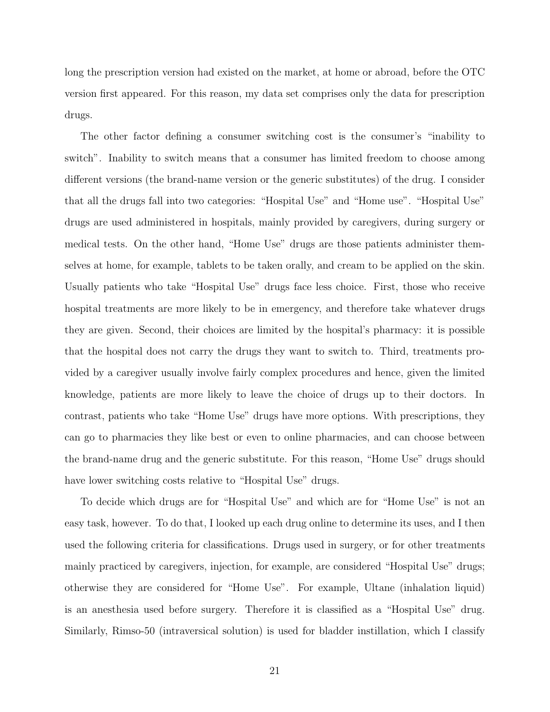long the prescription version had existed on the market, at home or abroad, before the OTC version first appeared. For this reason, my data set comprises only the data for prescription drugs.

The other factor defining a consumer switching cost is the consumer's "inability to switch". Inability to switch means that a consumer has limited freedom to choose among different versions (the brand-name version or the generic substitutes) of the drug. I consider that all the drugs fall into two categories: "Hospital Use" and "Home use". "Hospital Use" drugs are used administered in hospitals, mainly provided by caregivers, during surgery or medical tests. On the other hand, "Home Use" drugs are those patients administer themselves at home, for example, tablets to be taken orally, and cream to be applied on the skin. Usually patients who take "Hospital Use" drugs face less choice. First, those who receive hospital treatments are more likely to be in emergency, and therefore take whatever drugs they are given. Second, their choices are limited by the hospital's pharmacy: it is possible that the hospital does not carry the drugs they want to switch to. Third, treatments provided by a caregiver usually involve fairly complex procedures and hence, given the limited knowledge, patients are more likely to leave the choice of drugs up to their doctors. In contrast, patients who take "Home Use" drugs have more options. With prescriptions, they can go to pharmacies they like best or even to online pharmacies, and can choose between the brand-name drug and the generic substitute. For this reason, "Home Use" drugs should have lower switching costs relative to "Hospital Use" drugs.

To decide which drugs are for "Hospital Use" and which are for "Home Use" is not an easy task, however. To do that, I looked up each drug online to determine its uses, and I then used the following criteria for classifications. Drugs used in surgery, or for other treatments mainly practiced by caregivers, injection, for example, are considered "Hospital Use" drugs; otherwise they are considered for "Home Use". For example, Ultane (inhalation liquid) is an anesthesia used before surgery. Therefore it is classified as a "Hospital Use" drug. Similarly, Rimso-50 (intraversical solution) is used for bladder instillation, which I classify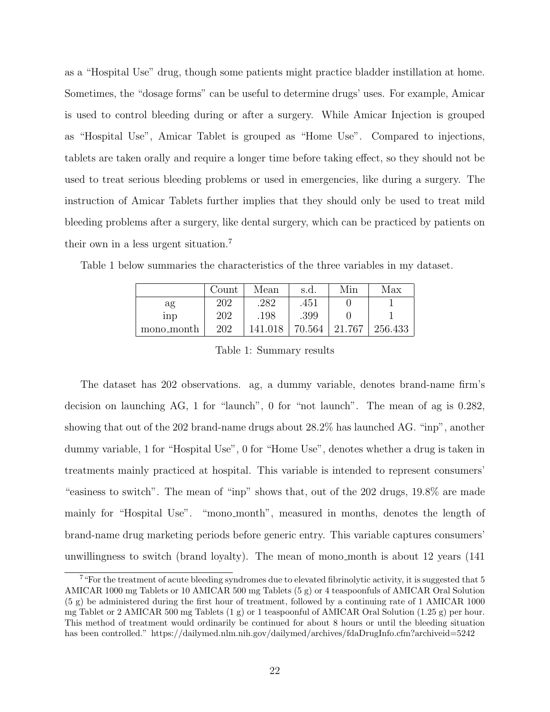as a "Hospital Use" drug, though some patients might practice bladder instillation at home. Sometimes, the "dosage forms" can be useful to determine drugs' uses. For example, Amicar is used to control bleeding during or after a surgery. While Amicar Injection is grouped as "Hospital Use", Amicar Tablet is grouped as "Home Use". Compared to injections, tablets are taken orally and require a longer time before taking effect, so they should not be used to treat serious bleeding problems or used in emergencies, like during a surgery. The instruction of Amicar Tablets further implies that they should only be used to treat mild bleeding problems after a surgery, like dental surgery, which can be practiced by patients on their own in a less urgent situation.<sup>7</sup>

|              | Count | Mean    | s.d.   | Min    | Max     |
|--------------|-------|---------|--------|--------|---------|
| ag           | 202   | 282     | .451   |        |         |
| $_{\rm inp}$ | 202   | .198    | .399   |        |         |
| mono_month   | 202   | 141.018 | 70.564 | 21.767 | 256.433 |

Table 1 below summaries the characteristics of the three variables in my dataset.

Table 1: Summary results

The dataset has 202 observations. ag, a dummy variable, denotes brand-name firm's decision on launching AG, 1 for "launch", 0 for "not launch". The mean of ag is 0.282, showing that out of the 202 brand-name drugs about 28.2% has launched AG. "inp", another dummy variable, 1 for "Hospital Use", 0 for "Home Use", denotes whether a drug is taken in treatments mainly practiced at hospital. This variable is intended to represent consumers' "easiness to switch". The mean of "inp" shows that, out of the 202 drugs, 19.8% are made mainly for "Hospital Use". "mono month", measured in months, denotes the length of brand-name drug marketing periods before generic entry. This variable captures consumers' unwillingness to switch (brand loyalty). The mean of mono month is about 12 years (141

<sup>&</sup>lt;sup>7</sup> "For the treatment of acute bleeding syndromes due to elevated fibrinolytic activity, it is suggested that 5 AMICAR 1000 mg Tablets or 10 AMICAR 500 mg Tablets (5 g) or 4 teaspoonfuls of AMICAR Oral Solution (5 g) be administered during the first hour of treatment, followed by a continuing rate of 1 AMICAR 1000 mg Tablet or 2 AMICAR 500 mg Tablets (1 g) or 1 teaspoonful of AMICAR Oral Solution (1.25 g) per hour. This method of treatment would ordinarily be continued for about 8 hours or until the bleeding situation has been controlled." https://dailymed.nlm.nih.gov/dailymed/archives/fdaDrugInfo.cfm?archiveid=5242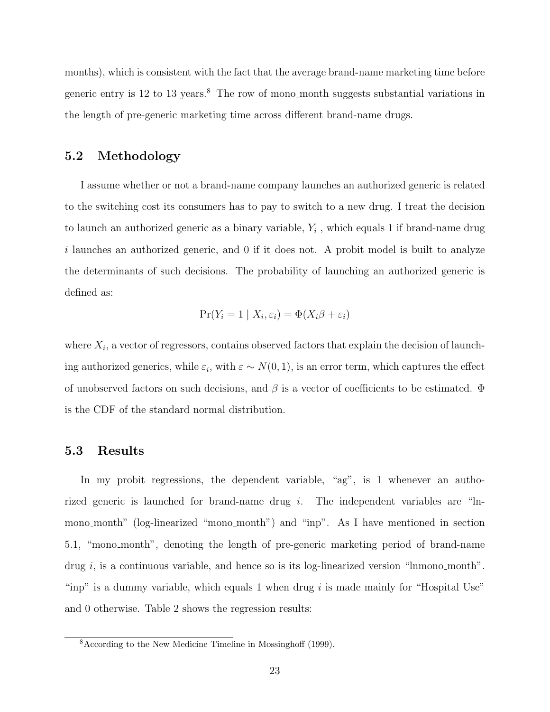months), which is consistent with the fact that the average brand-name marketing time before generic entry is 12 to 13 years.<sup>8</sup> The row of mono month suggests substantial variations in the length of pre-generic marketing time across different brand-name drugs.

### 5.2 Methodology

I assume whether or not a brand-name company launches an authorized generic is related to the switching cost its consumers has to pay to switch to a new drug. I treat the decision to launch an authorized generic as a binary variable, *Y<sup>i</sup>* , which equals 1 if brand-name drug *i* launches an authorized generic, and 0 if it does not. A probit model is built to analyze the determinants of such decisions. The probability of launching an authorized generic is defined as:

$$
\Pr(Y_i = 1 \mid X_i, \varepsilon_i) = \Phi(X_i \beta + \varepsilon_i)
$$

where  $X_i$ , a vector of regressors, contains observed factors that explain the decision of launching authorized generics, while  $\varepsilon_i$ , with  $\varepsilon \sim N(0, 1)$ , is an error term, which captures the effect of unobserved factors on such decisions, and  $\beta$  is a vector of coefficients to be estimated.  $\Phi$ is the CDF of the standard normal distribution.

#### 5.3 Results

In my probit regressions, the dependent variable, "ag", is 1 whenever an authorized generic is launched for brand-name drug *i*. The independent variables are "lnmono month" (log-linearized "mono month") and "inp". As I have mentioned in section 5.1, "mono month", denoting the length of pre-generic marketing period of brand-name drug *i*, is a continuous variable, and hence so is its log-linearized version "lnmono\_month". "inp" is a dummy variable, which equals 1 when drug *i* is made mainly for "Hospital Use" and 0 otherwise. Table 2 shows the regression results:

 $8$ According to the New Medicine Timeline in Mossinghoff (1999).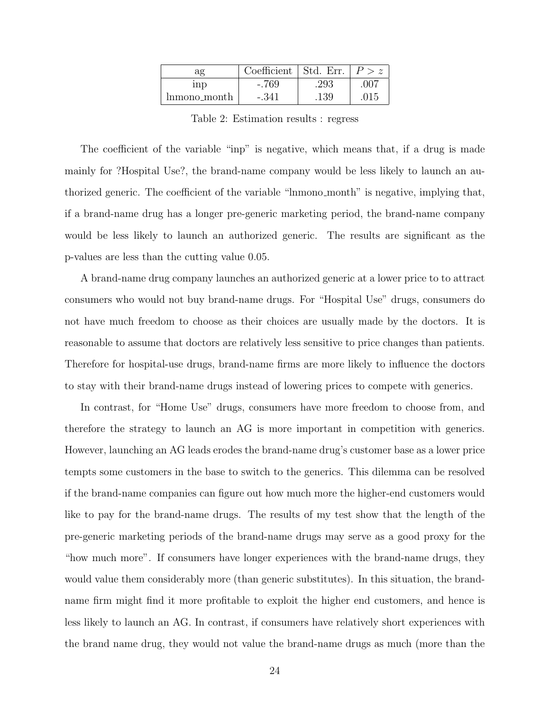| ag           | Coefficient   Std. Err. |      |      |
|--------------|-------------------------|------|------|
| $_{\rm inp}$ | $-.769$                 | .293 | .007 |
| lnmono_month | -.341                   | .139 | 015  |

Table 2: Estimation results : regress

The coefficient of the variable "inp" is negative, which means that, if a drug is made mainly for ?Hospital Use?, the brand-name company would be less likely to launch an authorized generic. The coefficient of the variable "lnmono\_month" is negative, implying that, if a brand-name drug has a longer pre-generic marketing period, the brand-name company would be less likely to launch an authorized generic. The results are significant as the p-values are less than the cutting value 0.05.

A brand-name drug company launches an authorized generic at a lower price to to attract consumers who would not buy brand-name drugs. For "Hospital Use" drugs, consumers do not have much freedom to choose as their choices are usually made by the doctors. It is reasonable to assume that doctors are relatively less sensitive to price changes than patients. Therefore for hospital-use drugs, brand-name firms are more likely to influence the doctors to stay with their brand-name drugs instead of lowering prices to compete with generics.

In contrast, for "Home Use" drugs, consumers have more freedom to choose from, and therefore the strategy to launch an AG is more important in competition with generics. However, launching an AG leads erodes the brand-name drug's customer base as a lower price tempts some customers in the base to switch to the generics. This dilemma can be resolved if the brand-name companies can figure out how much more the higher-end customers would like to pay for the brand-name drugs. The results of my test show that the length of the pre-generic marketing periods of the brand-name drugs may serve as a good proxy for the "how much more". If consumers have longer experiences with the brand-name drugs, they would value them considerably more (than generic substitutes). In this situation, the brandname firm might find it more profitable to exploit the higher end customers, and hence is less likely to launch an AG. In contrast, if consumers have relatively short experiences with the brand name drug, they would not value the brand-name drugs as much (more than the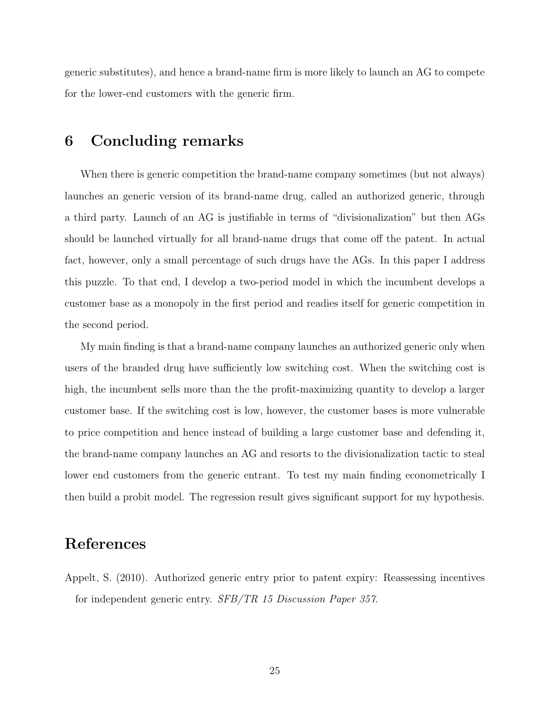generic substitutes), and hence a brand-name firm is more likely to launch an AG to compete for the lower-end customers with the generic firm.

### 6 Concluding remarks

When there is generic competition the brand-name company sometimes (but not always) launches an generic version of its brand-name drug, called an authorized generic, through a third party. Launch of an AG is justifiable in terms of "divisionalization" but then AGs should be launched virtually for all brand-name drugs that come off the patent. In actual fact, however, only a small percentage of such drugs have the AGs. In this paper I address this puzzle. To that end, I develop a two-period model in which the incumbent develops a customer base as a monopoly in the first period and readies itself for generic competition in the second period.

My main finding is that a brand-name company launches an authorized generic only when users of the branded drug have sufficiently low switching cost. When the switching cost is high, the incumbent sells more than the the profit-maximizing quantity to develop a larger customer base. If the switching cost is low, however, the customer bases is more vulnerable to price competition and hence instead of building a large customer base and defending it, the brand-name company launches an AG and resorts to the divisionalization tactic to steal lower end customers from the generic entrant. To test my main finding econometrically I then build a probit model. The regression result gives significant support for my hypothesis.

### References

Appelt, S. (2010). Authorized generic entry prior to patent expiry: Reassessing incentives for independent generic entry. *SFB/TR 15 Discussion Paper 357*.